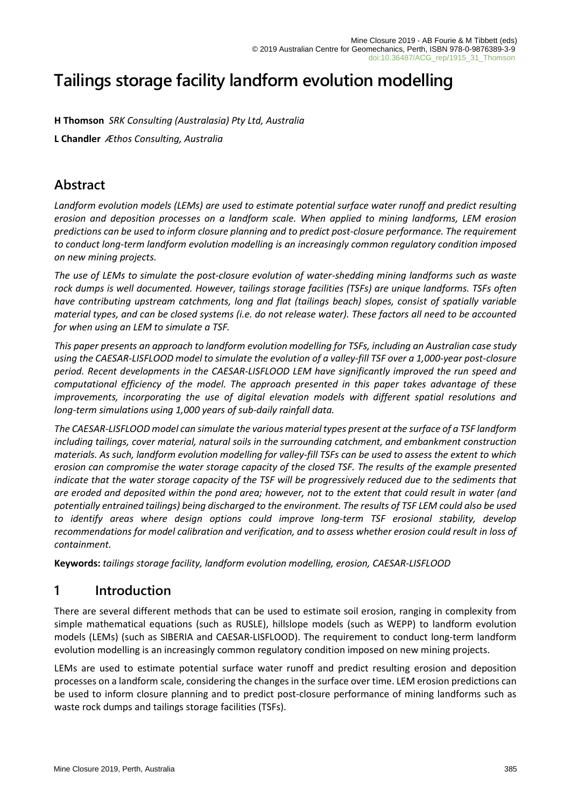# **Tailings storage facility landform evolution modelling**

**H Thomson** *SRK Consulting (Australasia) Pty Ltd, Australia*

**L Chandler** *Æthos Consulting, Australia*

### **Abstract**

*Landform evolution models (LEMs) are used to estimate potential surface water runoff and predict resulting erosion and deposition processes on a landform scale. When applied to mining landforms, LEM erosion predictions can be used to inform closure planning and to predict post-closure performance. The requirement to conduct long-term landform evolution modelling is an increasingly common regulatory condition imposed on new mining projects.*

*The use of LEMs to simulate the post-closure evolution of water-shedding mining landforms such as waste rock dumps is well documented. However, tailings storage facilities (TSFs) are unique landforms. TSFs often have contributing upstream catchments, long and flat (tailings beach) slopes, consist of spatially variable material types, and can be closed systems (i.e. do not release water). These factors all need to be accounted for when using an LEM to simulate a TSF.*

*This paper presents an approach to landform evolution modelling for TSFs, including an Australian case study using the CAESAR-LISFLOOD model to simulate the evolution of a valley-fill TSF over a 1,000-year post-closure period. Recent developments in the CAESAR-LISFLOOD LEM have significantly improved the run speed and computational efficiency of the model. The approach presented in this paper takes advantage of these improvements, incorporating the use of digital elevation models with different spatial resolutions and long-term simulations using 1,000 years of sub-daily rainfall data.*

*The CAESAR-LISFLOOD model can simulate the various material types present at the surface of a TSF landform including tailings, cover material, natural soils in the surrounding catchment, and embankment construction materials. As such, landform evolution modelling for valley-fill TSFs can be used to assess the extent to which erosion can compromise the water storage capacity of the closed TSF. The results of the example presented indicate that the water storage capacity of the TSF will be progressively reduced due to the sediments that are eroded and deposited within the pond area; however, not to the extent that could result in water (and potentially entrained tailings) being discharged to the environment. The results of TSF LEM could also be used to identify areas where design options could improve long-term TSF erosional stability, develop recommendations for model calibration and verification, and to assess whether erosion could result in loss of containment.*

**Keywords:** *tailings storage facility, landform evolution modelling, erosion, CAESAR-LISFLOOD*

## **1 Introduction**

There are several different methods that can be used to estimate soil erosion, ranging in complexity from simple mathematical equations (such as RUSLE), hillslope models (such as WEPP) to landform evolution models (LEMs) (such as SIBERIA and CAESAR-LISFLOOD). The requirement to conduct long-term landform evolution modelling is an increasingly common regulatory condition imposed on new mining projects.

LEMs are used to estimate potential surface water runoff and predict resulting erosion and deposition processes on a landform scale, considering the changes in the surface over time. LEM erosion predictions can be used to inform closure planning and to predict post-closure performance of mining landforms such as waste rock dumps and tailings storage facilities (TSFs).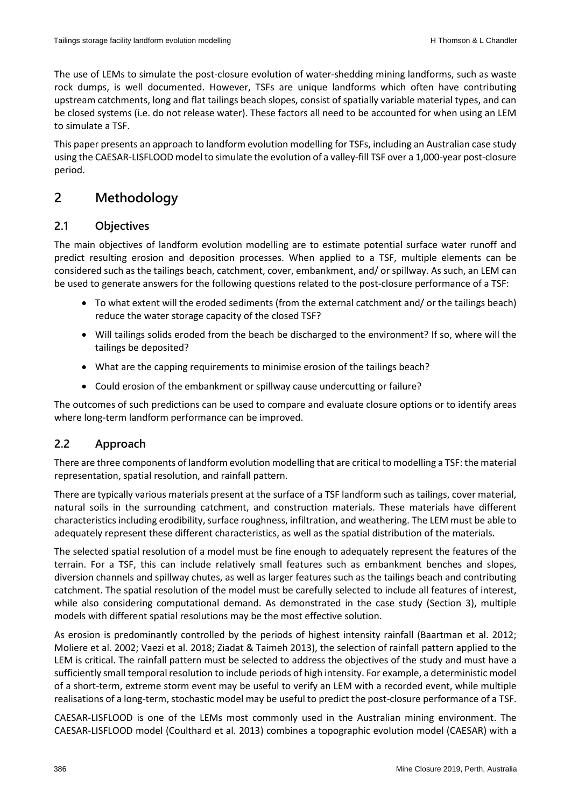The use of LEMs to simulate the post-closure evolution of water-shedding mining landforms, such as waste rock dumps, is well documented. However, TSFs are unique landforms which often have contributing upstream catchments, long and flat tailings beach slopes, consist of spatially variable material types, and can be closed systems (i.e. do not release water). These factors all need to be accounted for when using an LEM to simulate a TSF.

This paper presents an approach to landform evolution modelling for TSFs, including an Australian case study using the CAESAR-LISFLOOD model to simulate the evolution of a valley-fill TSF over a 1,000-year post-closure period.

# **2 Methodology**

### **2.1 Objectives**

The main objectives of landform evolution modelling are to estimate potential surface water runoff and predict resulting erosion and deposition processes. When applied to a TSF, multiple elements can be considered such as the tailings beach, catchment, cover, embankment, and/ or spillway. As such, an LEM can be used to generate answers for the following questions related to the post-closure performance of a TSF:

- To what extent will the eroded sediments (from the external catchment and/ or the tailings beach) reduce the water storage capacity of the closed TSF?
- Will tailings solids eroded from the beach be discharged to the environment? If so, where will the tailings be deposited?
- What are the capping requirements to minimise erosion of the tailings beach?
- Could erosion of the embankment or spillway cause undercutting or failure?

The outcomes of such predictions can be used to compare and evaluate closure options or to identify areas where long-term landform performance can be improved.

### **2.2 Approach**

There are three components of landform evolution modelling that are critical to modelling a TSF: the material representation, spatial resolution, and rainfall pattern.

There are typically various materials present at the surface of a TSF landform such as tailings, cover material, natural soils in the surrounding catchment, and construction materials. These materials have different characteristics including erodibility, surface roughness, infiltration, and weathering. The LEM must be able to adequately represent these different characteristics, as well as the spatial distribution of the materials.

The selected spatial resolution of a model must be fine enough to adequately represent the features of the terrain. For a TSF, this can include relatively small features such as embankment benches and slopes, diversion channels and spillway chutes, as well as larger features such as the tailings beach and contributing catchment. The spatial resolution of the model must be carefully selected to include all features of interest, while also considering computational demand. As demonstrated in the case study (Section 3), multiple models with different spatial resolutions may be the most effective solution.

As erosion is predominantly controlled by the periods of highest intensity rainfall (Baartman et al. 2012; Moliere et al. 2002; Vaezi et al. 2018; Ziadat & Taimeh 2013), the selection of rainfall pattern applied to the LEM is critical. The rainfall pattern must be selected to address the objectives of the study and must have a sufficiently small temporal resolution to include periods of high intensity. For example, a deterministic model of a short-term, extreme storm event may be useful to verify an LEM with a recorded event, while multiple realisations of a long-term, stochastic model may be useful to predict the post-closure performance of a TSF.

CAESAR-LISFLOOD is one of the LEMs most commonly used in the Australian mining environment. The CAESAR-LISFLOOD model (Coulthard et al. 2013) combines a topographic evolution model (CAESAR) with a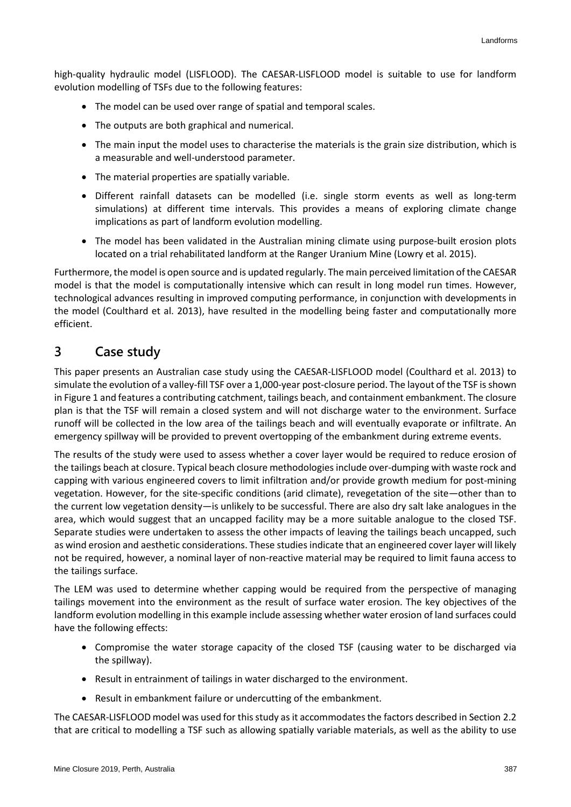high-quality hydraulic model (LISFLOOD). The CAESAR-LISFLOOD model is suitable to use for landform evolution modelling of TSFs due to the following features:

- The model can be used over range of spatial and temporal scales.
- The outputs are both graphical and numerical.
- The main input the model uses to characterise the materials is the grain size distribution, which is a measurable and well-understood parameter.
- The material properties are spatially variable.
- Different rainfall datasets can be modelled (i.e. single storm events as well as long-term simulations) at different time intervals. This provides a means of exploring climate change implications as part of landform evolution modelling.
- The model has been validated in the Australian mining climate using purpose-built erosion plots located on a trial rehabilitated landform at the Ranger Uranium Mine (Lowry et al. 2015).

Furthermore, the model is open source and is updated regularly. The main perceived limitation of the CAESAR model is that the model is computationally intensive which can result in long model run times. However, technological advances resulting in improved computing performance, in conjunction with developments in the model (Coulthard et al. 2013), have resulted in the modelling being faster and computationally more efficient.

### **3 Case study**

This paper presents an Australian case study using the CAESAR-LISFLOOD model (Coulthard et al. 2013) to simulate the evolution of a valley-fill TSF over a 1,000-year post-closure period. The layout of the TSF is shown in Figure 1 and features a contributing catchment, tailings beach, and containment embankment. The closure plan is that the TSF will remain a closed system and will not discharge water to the environment. Surface runoff will be collected in the low area of the tailings beach and will eventually evaporate or infiltrate. An emergency spillway will be provided to prevent overtopping of the embankment during extreme events.

The results of the study were used to assess whether a cover layer would be required to reduce erosion of the tailings beach at closure. Typical beach closure methodologies include over-dumping with waste rock and capping with various engineered covers to limit infiltration and/or provide growth medium for post-mining vegetation. However, for the site-specific conditions (arid climate), revegetation of the site—other than to the current low vegetation density—is unlikely to be successful. There are also dry salt lake analogues in the area, which would suggest that an uncapped facility may be a more suitable analogue to the closed TSF. Separate studies were undertaken to assess the other impacts of leaving the tailings beach uncapped, such as wind erosion and aesthetic considerations. These studies indicate that an engineered cover layer will likely not be required, however, a nominal layer of non-reactive material may be required to limit fauna access to the tailings surface.

The LEM was used to determine whether capping would be required from the perspective of managing tailings movement into the environment as the result of surface water erosion. The key objectives of the landform evolution modelling in this example include assessing whether water erosion of land surfaces could have the following effects:

- Compromise the water storage capacity of the closed TSF (causing water to be discharged via the spillway).
- Result in entrainment of tailings in water discharged to the environment.
- Result in embankment failure or undercutting of the embankment.

The CAESAR-LISFLOOD model was used for this study as it accommodatesthe factors described in Section 2.2 that are critical to modelling a TSF such as allowing spatially variable materials, as well as the ability to use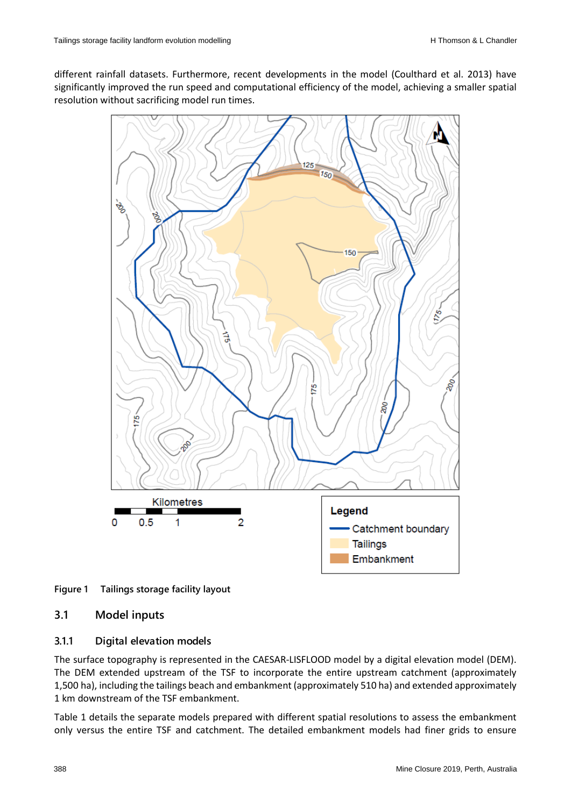different rainfall datasets. Furthermore, recent developments in the model (Coulthard et al. 2013) have significantly improved the run speed and computational efficiency of the model, achieving a smaller spatial resolution without sacrificing model run times.



**Figure 1 Tailings storage facility layout**

#### **3.1 Model inputs**

#### **3.1.1 Digital elevation models**

The surface topography is represented in the CAESAR-LISFLOOD model by a digital elevation model (DEM). The DEM extended upstream of the TSF to incorporate the entire upstream catchment (approximately 1,500 ha), including the tailings beach and embankment (approximately 510 ha) and extended approximately 1 km downstream of the TSF embankment.

Table 1 details the separate models prepared with different spatial resolutions to assess the embankment only versus the entire TSF and catchment. The detailed embankment models had finer grids to ensure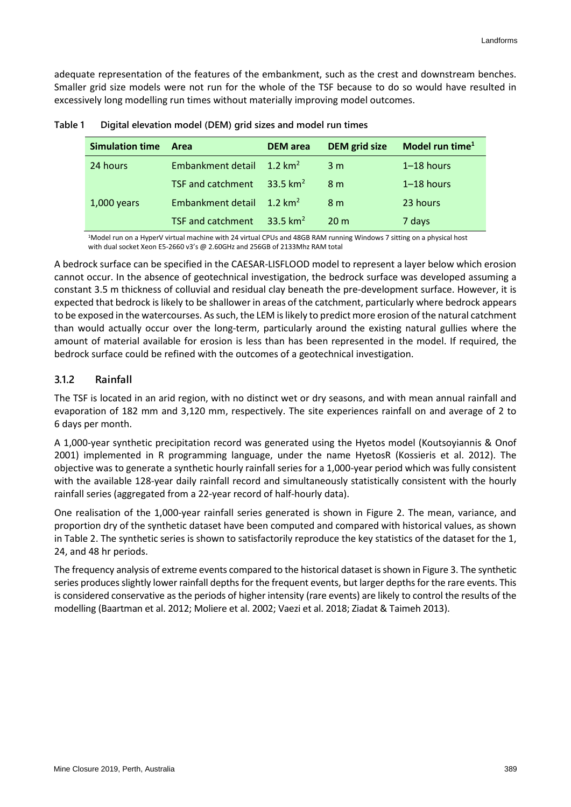adequate representation of the features of the embankment, such as the crest and downstream benches. Smaller grid size models were not run for the whole of the TSF because to do so would have resulted in excessively long modelling run times without materially improving model outcomes.

| <b>Simulation time</b> | Area                     | <b>DEM</b> area      | <b>DEM</b> grid size | Model run time $1$ |
|------------------------|--------------------------|----------------------|----------------------|--------------------|
| 24 hours               | Embankment detail        | 1.2 km <sup>2</sup>  | 3 <sub>m</sub>       | $1-18$ hours       |
|                        | <b>TSF and catchment</b> | $-33.5 \text{ km}^2$ | 8 <sub>m</sub>       | $1-18$ hours       |
| $1,000$ years          | Embankment detail        | 1.2 km <sup>2</sup>  | 8 <sub>m</sub>       | 23 hours           |
|                        | <b>TSF and catchment</b> | 33.5 km <sup>2</sup> | 20 <sub>m</sub>      | 7 days             |

| Table 1 | Digital elevation model (DEM) grid sizes and model run times |  |  |
|---------|--------------------------------------------------------------|--|--|
|---------|--------------------------------------------------------------|--|--|

1 Model run on a HyperV virtual machine with 24 virtual CPUs and 48GB RAM running Windows 7 sitting on a physical host with dual socket Xeon E5-2660 v3's @ 2.60GHz and 256GB of 2133Mhz RAM total

A bedrock surface can be specified in the CAESAR-LISFLOOD model to represent a layer below which erosion cannot occur. In the absence of geotechnical investigation, the bedrock surface was developed assuming a constant 3.5 m thickness of colluvial and residual clay beneath the pre-development surface. However, it is expected that bedrock is likely to be shallower in areas of the catchment, particularly where bedrock appears to be exposed in the watercourses. As such, the LEM is likely to predict more erosion of the natural catchment than would actually occur over the long-term, particularly around the existing natural gullies where the amount of material available for erosion is less than has been represented in the model. If required, the bedrock surface could be refined with the outcomes of a geotechnical investigation.

#### **3.1.2 Rainfall**

The TSF is located in an arid region, with no distinct wet or dry seasons, and with mean annual rainfall and evaporation of 182 mm and 3,120 mm, respectively. The site experiences rainfall on and average of 2 to 6 days per month.

A 1,000-year synthetic precipitation record was generated using the Hyetos model (Koutsoyiannis & Onof 2001) implemented in R programming language, under the name HyetosR (Kossieris et al. 2012). The objective was to generate a synthetic hourly rainfall series for a 1,000-year period which was fully consistent with the available 128-year daily rainfall record and simultaneously statistically consistent with the hourly rainfall series (aggregated from a 22-year record of half-hourly data).

One realisation of the 1,000-year rainfall series generated is shown in Figure 2. The mean, variance, and proportion dry of the synthetic dataset have been computed and compared with historical values, as shown in Table 2. The synthetic series is shown to satisfactorily reproduce the key statistics of the dataset for the 1, 24, and 48 hr periods.

The frequency analysis of extreme events compared to the historical dataset is shown in Figure 3. The synthetic series produces slightly lower rainfall depths for the frequent events, but larger depths for the rare events. This is considered conservative as the periods of higher intensity (rare events) are likely to control the results of the modelling (Baartman et al. 2012; Moliere et al. 2002; Vaezi et al. 2018; Ziadat & Taimeh 2013).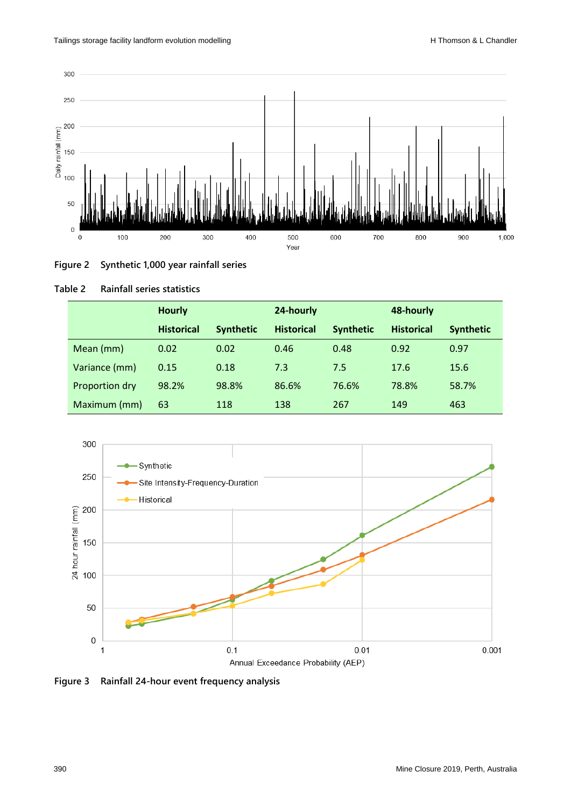



| Table 2 |  | <b>Rainfall series statistics</b> |
|---------|--|-----------------------------------|
|         |  |                                   |

|                | <b>Hourly</b>     |                  | 24-hourly         |                  | 48-hourly         |                  |
|----------------|-------------------|------------------|-------------------|------------------|-------------------|------------------|
|                | <b>Historical</b> | <b>Synthetic</b> | <b>Historical</b> | <b>Synthetic</b> | <b>Historical</b> | <b>Synthetic</b> |
| Mean (mm)      | 0.02              | 0.02             | 0.46              | 0.48             | 0.92              | 0.97             |
| Variance (mm)  | 0.15              | 0.18             | 7.3               | 7.5              | 17.6              | 15.6             |
| Proportion dry | 98.2%             | 98.8%            | 86.6%             | 76.6%            | 78.8%             | 58.7%            |
| Maximum (mm)   | 63                | 118              | 138               | 267              | 149               | 463              |



**Figure 3 Rainfall 24-hour event frequency analysis**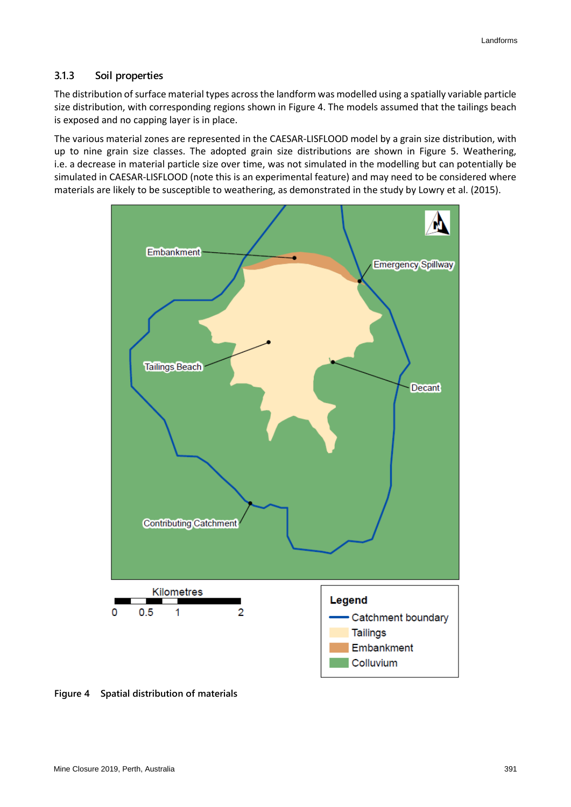#### **3.1.3 Soil properties**

The distribution of surface material types across the landform was modelled using a spatially variable particle size distribution, with corresponding regions shown in Figure 4. The models assumed that the tailings beach is exposed and no capping layer is in place.

The various material zones are represented in the CAESAR-LISFLOOD model by a grain size distribution, with up to nine grain size classes. The adopted grain size distributions are shown in Figure 5. Weathering, i.e. a decrease in material particle size over time, was not simulated in the modelling but can potentially be simulated in CAESAR-LISFLOOD (note this is an experimental feature) and may need to be considered where materials are likely to be susceptible to weathering, as demonstrated in the study by Lowry et al. (2015).



**Figure 4 Spatial distribution of materials**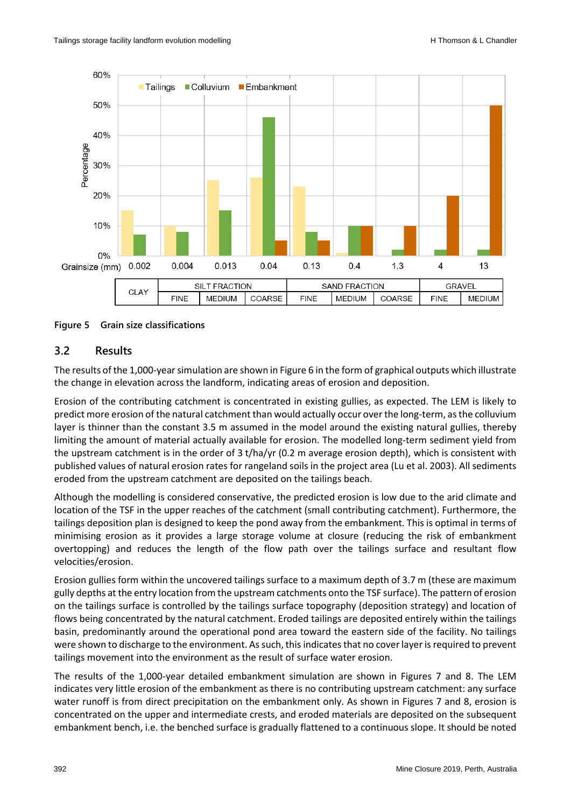

**Figure 5 Grain size classifications**

### **3.2 Results**

The results of the 1,000-year simulation are shown in Figure 6 in the form of graphical outputs which illustrate the change in elevation across the landform, indicating areas of erosion and deposition.

Erosion of the contributing catchment is concentrated in existing gullies, as expected. The LEM is likely to predict more erosion of the natural catchment than would actually occur over the long-term, as the colluvium layer is thinner than the constant 3.5 m assumed in the model around the existing natural gullies, thereby limiting the amount of material actually available for erosion. The modelled long-term sediment yield from the upstream catchment is in the order of 3 t/ha/yr (0.2 m average erosion depth), which is consistent with published values of natural erosion rates for rangeland soils in the project area (Lu et al. 2003). All sediments eroded from the upstream catchment are deposited on the tailings beach.

Although the modelling is considered conservative, the predicted erosion is low due to the arid climate and location of the TSF in the upper reaches of the catchment (small contributing catchment). Furthermore, the tailings deposition plan is designed to keep the pond away from the embankment. This is optimal in terms of minimising erosion as it provides a large storage volume at closure (reducing the risk of embankment overtopping) and reduces the length of the flow path over the tailings surface and resultant flow velocities/erosion.

Erosion gullies form within the uncovered tailings surface to a maximum depth of 3.7 m (these are maximum gully depths at the entry location from the upstream catchments onto the TSF surface). The pattern of erosion on the tailings surface is controlled by the tailings surface topography (deposition strategy) and location of flows being concentrated by the natural catchment. Eroded tailings are deposited entirely within the tailings basin, predominantly around the operational pond area toward the eastern side of the facility. No tailings were shown to discharge to the environment. As such, this indicates that no cover layer is required to prevent tailings movement into the environment as the result of surface water erosion.

The results of the 1,000-year detailed embankment simulation are shown in Figures 7 and 8. The LEM indicates very little erosion of the embankment as there is no contributing upstream catchment: any surface water runoff is from direct precipitation on the embankment only. As shown in Figures 7 and 8, erosion is concentrated on the upper and intermediate crests, and eroded materials are deposited on the subsequent embankment bench, i.e. the benched surface is gradually flattened to a continuous slope. It should be noted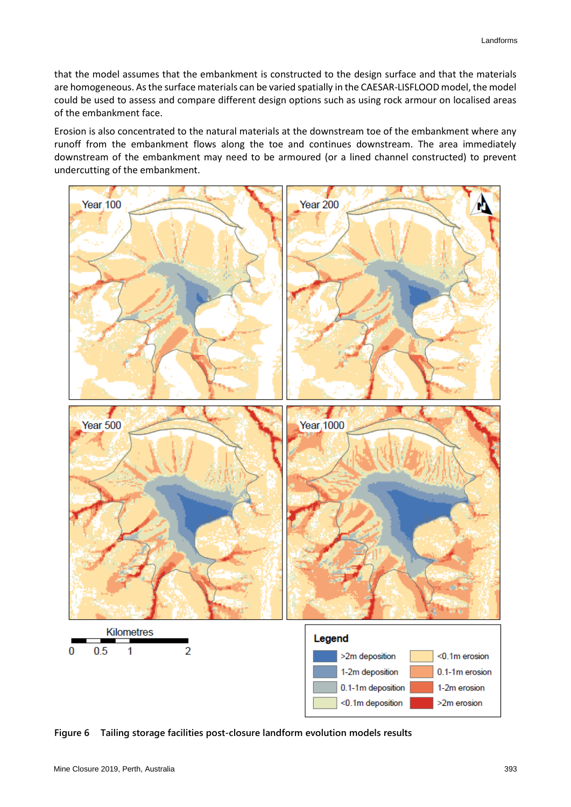that the model assumes that the embankment is constructed to the design surface and that the materials are homogeneous. As the surface materials can be varied spatially in the CAESAR-LISFLOOD model, the model could be used to assess and compare different design options such as using rock armour on localised areas of the embankment face.

Erosion is also concentrated to the natural materials at the downstream toe of the embankment where any runoff from the embankment flows along the toe and continues downstream. The area immediately downstream of the embankment may need to be armoured (or a lined channel constructed) to prevent undercutting of the embankment.



**Figure 6 Tailing storage facilities post-closure landform evolution models results**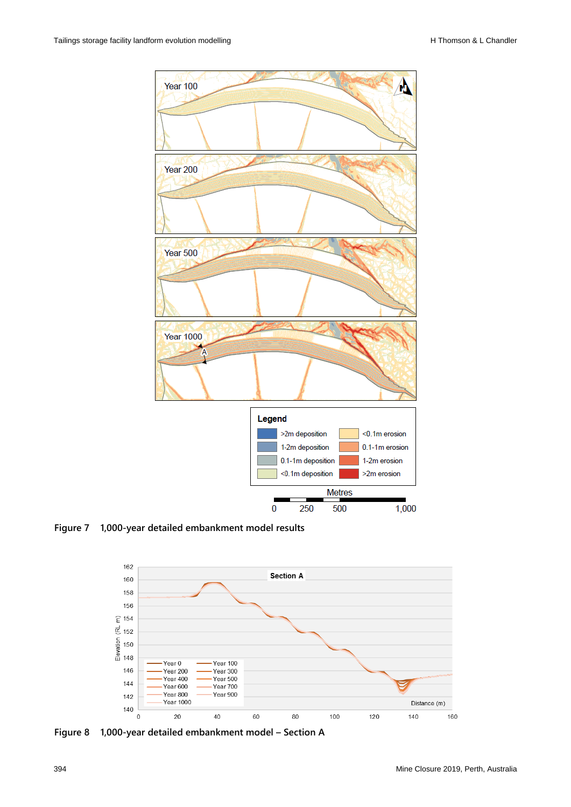

**Figure 7 1,000-year detailed embankment model results**



**Figure 8 1,000-year detailed embankment model – Section A**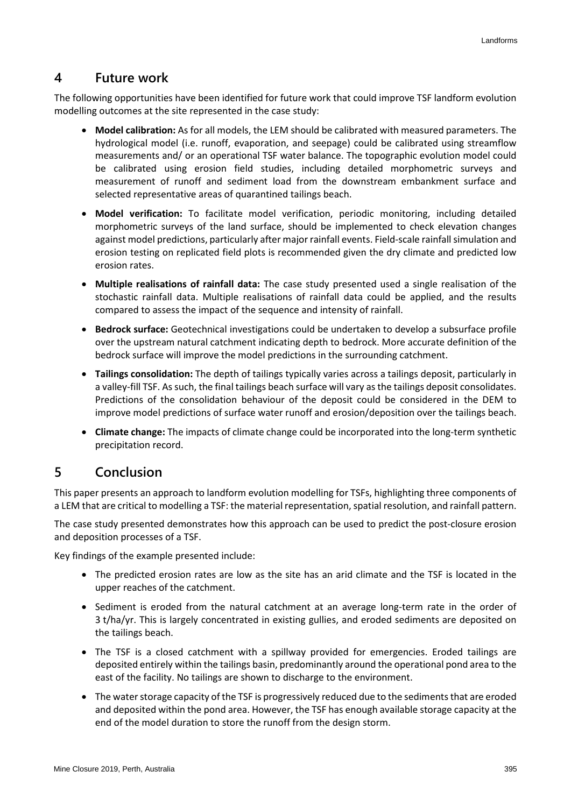### **4 Future work**

The following opportunities have been identified for future work that could improve TSF landform evolution modelling outcomes at the site represented in the case study:

- **Model calibration:** As for all models, the LEM should be calibrated with measured parameters. The hydrological model (i.e. runoff, evaporation, and seepage) could be calibrated using streamflow measurements and/ or an operational TSF water balance. The topographic evolution model could be calibrated using erosion field studies, including detailed morphometric surveys and measurement of runoff and sediment load from the downstream embankment surface and selected representative areas of quarantined tailings beach.
- **Model verification:** To facilitate model verification, periodic monitoring, including detailed morphometric surveys of the land surface, should be implemented to check elevation changes against model predictions, particularly after major rainfall events. Field-scale rainfall simulation and erosion testing on replicated field plots is recommended given the dry climate and predicted low erosion rates.
- **Multiple realisations of rainfall data:** The case study presented used a single realisation of the stochastic rainfall data. Multiple realisations of rainfall data could be applied, and the results compared to assess the impact of the sequence and intensity of rainfall.
- **Bedrock surface:** Geotechnical investigations could be undertaken to develop a subsurface profile over the upstream natural catchment indicating depth to bedrock. More accurate definition of the bedrock surface will improve the model predictions in the surrounding catchment.
- **Tailings consolidation:** The depth of tailings typically varies across a tailings deposit, particularly in a valley-fill TSF. As such, the final tailings beach surface will vary as the tailings deposit consolidates. Predictions of the consolidation behaviour of the deposit could be considered in the DEM to improve model predictions of surface water runoff and erosion/deposition over the tailings beach.
- **Climate change:** The impacts of climate change could be incorporated into the long-term synthetic precipitation record.

# **5 Conclusion**

This paper presents an approach to landform evolution modelling for TSFs, highlighting three components of a LEM that are critical to modelling a TSF: the material representation, spatial resolution, and rainfall pattern.

The case study presented demonstrates how this approach can be used to predict the post-closure erosion and deposition processes of a TSF.

Key findings of the example presented include:

- The predicted erosion rates are low as the site has an arid climate and the TSF is located in the upper reaches of the catchment.
- Sediment is eroded from the natural catchment at an average long-term rate in the order of 3 t/ha/yr. This is largely concentrated in existing gullies, and eroded sediments are deposited on the tailings beach.
- The TSF is a closed catchment with a spillway provided for emergencies. Eroded tailings are deposited entirely within the tailings basin, predominantly around the operational pond area to the east of the facility. No tailings are shown to discharge to the environment.
- The water storage capacity of the TSF is progressively reduced due to the sediments that are eroded and deposited within the pond area. However, the TSF has enough available storage capacity at the end of the model duration to store the runoff from the design storm.